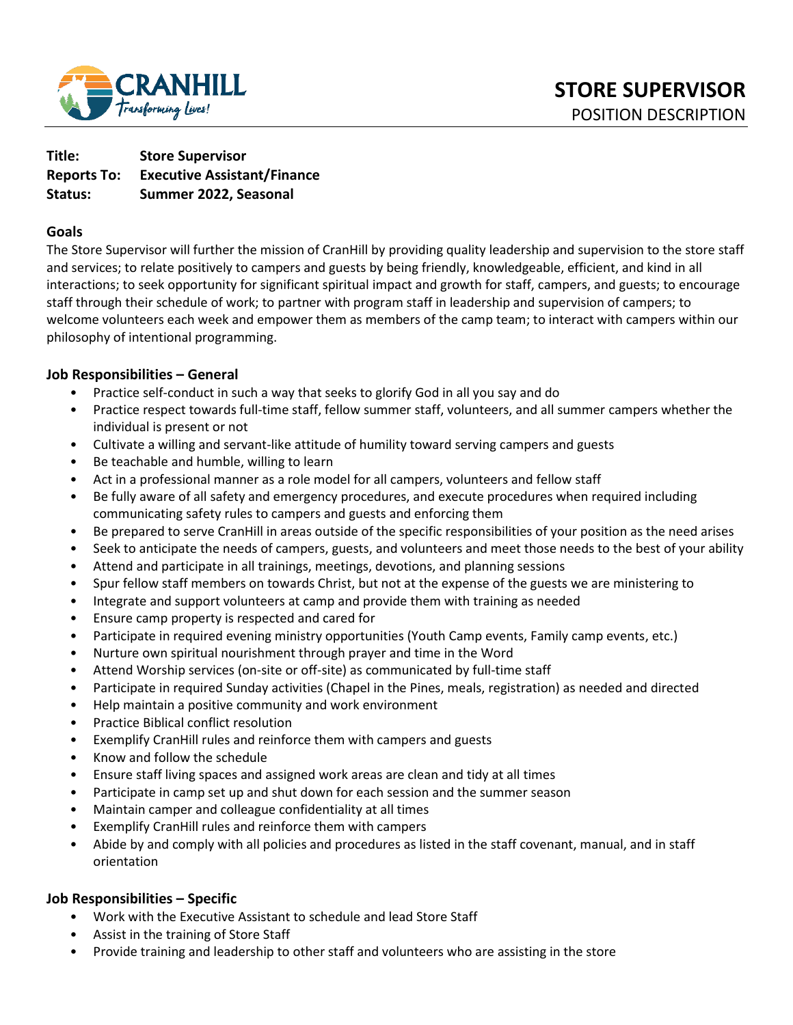

| Title:             | <b>Store Supervisor</b>            |
|--------------------|------------------------------------|
| <b>Reports To:</b> | <b>Executive Assistant/Finance</b> |
| Status:            | Summer 2022, Seasonal              |

## **Goals**

The Store Supervisor will further the mission of CranHill by providing quality leadership and supervision to the store staff and services; to relate positively to campers and guests by being friendly, knowledgeable, efficient, and kind in all interactions; to seek opportunity for significant spiritual impact and growth for staff, campers, and guests; to encourage staff through their schedule of work; to partner with program staff in leadership and supervision of campers; to welcome volunteers each week and empower them as members of the camp team; to interact with campers within our philosophy of intentional programming.

### **Job Responsibilities – General**

- Practice self-conduct in such a way that seeks to glorify God in all you say and do
- Practice respect towards full-time staff, fellow summer staff, volunteers, and all summer campers whether the individual is present or not
- Cultivate a willing and servant-like attitude of humility toward serving campers and guests
- Be teachable and humble, willing to learn
- Act in a professional manner as a role model for all campers, volunteers and fellow staff
- Be fully aware of all safety and emergency procedures, and execute procedures when required including communicating safety rules to campers and guests and enforcing them
- Be prepared to serve CranHill in areas outside of the specific responsibilities of your position as the need arises
- Seek to anticipate the needs of campers, guests, and volunteers and meet those needs to the best of your ability
- Attend and participate in all trainings, meetings, devotions, and planning sessions
- Spur fellow staff members on towards Christ, but not at the expense of the guests we are ministering to
- Integrate and support volunteers at camp and provide them with training as needed
- Ensure camp property is respected and cared for
- Participate in required evening ministry opportunities (Youth Camp events, Family camp events, etc.)
- Nurture own spiritual nourishment through prayer and time in the Word
- Attend Worship services (on-site or off-site) as communicated by full-time staff
- Participate in required Sunday activities (Chapel in the Pines, meals, registration) as needed and directed
- Help maintain a positive community and work environment
- Practice Biblical conflict resolution
- Exemplify CranHill rules and reinforce them with campers and guests
- Know and follow the schedule
- Ensure staff living spaces and assigned work areas are clean and tidy at all times
- Participate in camp set up and shut down for each session and the summer season
- Maintain camper and colleague confidentiality at all times
- Exemplify CranHill rules and reinforce them with campers
- Abide by and comply with all policies and procedures as listed in the staff covenant, manual, and in staff orientation

## **Job Responsibilities – Specific**

- Work with the Executive Assistant to schedule and lead Store Staff
- Assist in the training of Store Staff
- Provide training and leadership to other staff and volunteers who are assisting in the store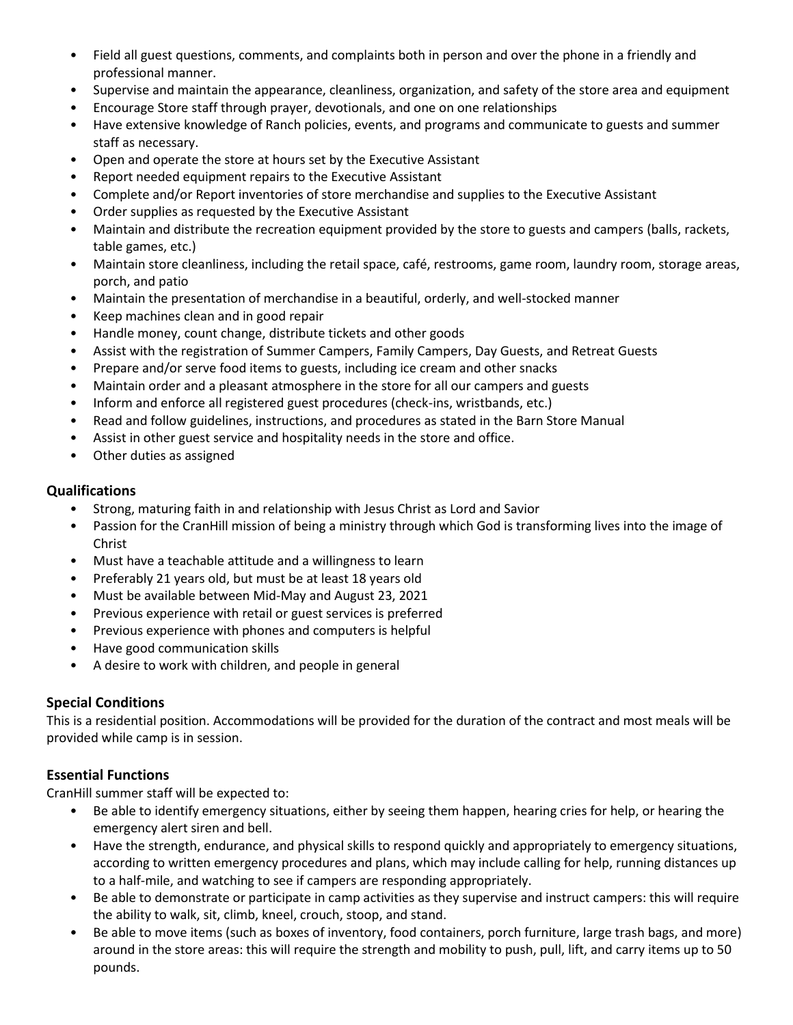- Field all guest questions, comments, and complaints both in person and over the phone in a friendly and professional manner.
- Supervise and maintain the appearance, cleanliness, organization, and safety of the store area and equipment
- Encourage Store staff through prayer, devotionals, and one on one relationships
- Have extensive knowledge of Ranch policies, events, and programs and communicate to guests and summer staff as necessary.
- Open and operate the store at hours set by the Executive Assistant
- Report needed equipment repairs to the Executive Assistant
- Complete and/or Report inventories of store merchandise and supplies to the Executive Assistant
- Order supplies as requested by the Executive Assistant
- Maintain and distribute the recreation equipment provided by the store to guests and campers (balls, rackets, table games, etc.)
- Maintain store cleanliness, including the retail space, café, restrooms, game room, laundry room, storage areas, porch, and patio
- Maintain the presentation of merchandise in a beautiful, orderly, and well-stocked manner
- Keep machines clean and in good repair
- Handle money, count change, distribute tickets and other goods
- Assist with the registration of Summer Campers, Family Campers, Day Guests, and Retreat Guests
- Prepare and/or serve food items to guests, including ice cream and other snacks
- Maintain order and a pleasant atmosphere in the store for all our campers and guests
- Inform and enforce all registered guest procedures (check-ins, wristbands, etc.)
- Read and follow guidelines, instructions, and procedures as stated in the Barn Store Manual
- Assist in other guest service and hospitality needs in the store and office.
- Other duties as assigned

# **Qualifications**

- Strong, maturing faith in and relationship with Jesus Christ as Lord and Savior
- Passion for the CranHill mission of being a ministry through which God is transforming lives into the image of Christ
- Must have a teachable attitude and a willingness to learn
- Preferably 21 years old, but must be at least 18 years old
- Must be available between Mid-May and August 23, 2021
- Previous experience with retail or guest services is preferred
- Previous experience with phones and computers is helpful
- Have good communication skills
- A desire to work with children, and people in general

# **Special Conditions**

This is a residential position. Accommodations will be provided for the duration of the contract and most meals will be provided while camp is in session.

# **Essential Functions**

CranHill summer staff will be expected to:

- Be able to identify emergency situations, either by seeing them happen, hearing cries for help, or hearing the emergency alert siren and bell.
- Have the strength, endurance, and physical skills to respond quickly and appropriately to emergency situations, according to written emergency procedures and plans, which may include calling for help, running distances up to a half-mile, and watching to see if campers are responding appropriately.
- Be able to demonstrate or participate in camp activities as they supervise and instruct campers: this will require the ability to walk, sit, climb, kneel, crouch, stoop, and stand.
- Be able to move items (such as boxes of inventory, food containers, porch furniture, large trash bags, and more) around in the store areas: this will require the strength and mobility to push, pull, lift, and carry items up to 50 pounds.